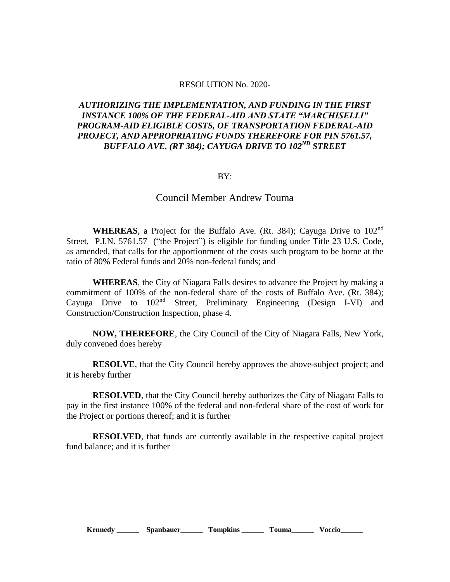## RESOLUTION No. 2020-

## *AUTHORIZING THE IMPLEMENTATION, AND FUNDING IN THE FIRST INSTANCE 100% OF THE FEDERAL-AID AND STATE "MARCHISELLI" PROGRAM-AID ELIGIBLE COSTS, OF TRANSPORTATION FEDERAL-AID PROJECT, AND APPROPRIATING FUNDS THEREFORE FOR PIN 5761.57, BUFFALO AVE. (RT 384); CAYUGA DRIVE TO 102ND STREET*

## BY:

## Council Member Andrew Touma

**WHEREAS**, a Project for the Buffalo Ave. (Rt. 384); Cayuga Drive to 102nd Street, P.I.N. 5761.57 ("the Project") is eligible for funding under Title 23 U.S. Code, as amended, that calls for the apportionment of the costs such program to be borne at the ratio of 80% Federal funds and 20% non-federal funds; and

**WHEREAS**, the City of Niagara Falls desires to advance the Project by making a commitment of 100% of the non-federal share of the costs of Buffalo Ave. (Rt. 384); Cayuga Drive to 102nd Street, Preliminary Engineering (Design I-VI) and Construction/Construction Inspection, phase 4.

**NOW, THEREFORE**, the City Council of the City of Niagara Falls, New York, duly convened does hereby

**RESOLVE**, that the City Council hereby approves the above-subject project; and it is hereby further

**RESOLVED**, that the City Council hereby authorizes the City of Niagara Falls to pay in the first instance 100% of the federal and non-federal share of the cost of work for the Project or portions thereof; and it is further

**RESOLVED**, that funds are currently available in the respective capital project fund balance; and it is further

**Kennedy \_\_\_\_\_\_ Spanbauer\_\_\_\_\_\_ Tompkins \_\_\_\_\_\_ Touma\_\_\_\_\_\_ Voccio\_\_\_\_\_\_**